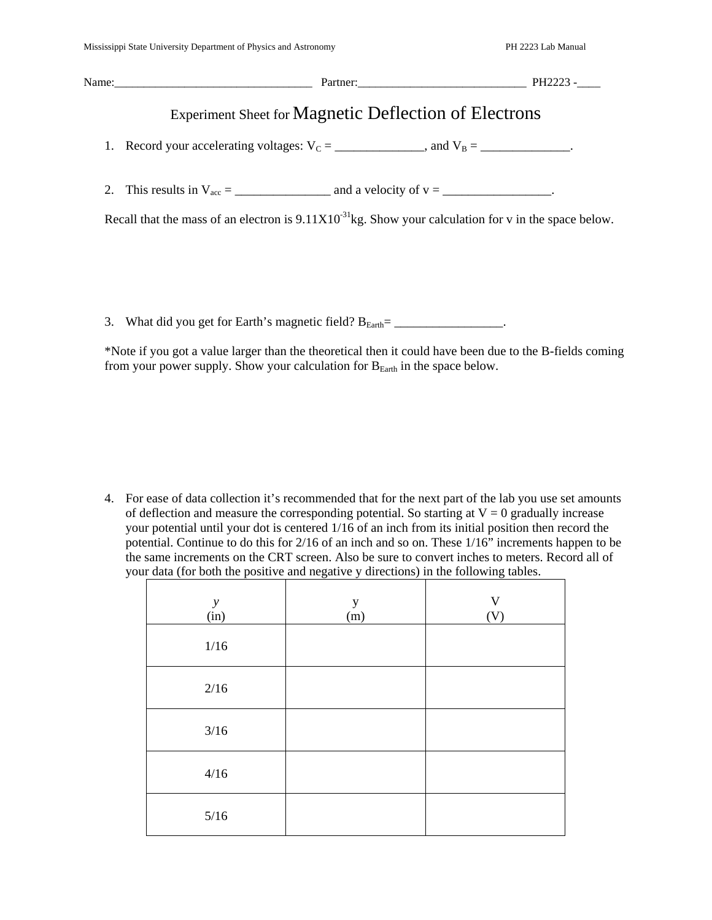| Partner: PH2223 -                                                                                                 |  |
|-------------------------------------------------------------------------------------------------------------------|--|
| Experiment Sheet for Magnetic Deflection of Electrons                                                             |  |
| 1. Record your accelerating voltages: $V_c =$ ______________, and $V_B =$ ____________.                           |  |
|                                                                                                                   |  |
| Recall that the mass of an electron is $9.11 \times 10^{-31}$ kg. Show your calculation for v in the space below. |  |
|                                                                                                                   |  |

3. What did you get for Earth's magnetic field?  $B_{Earth} =$  \_\_\_\_\_\_\_\_\_\_\_\_\_\_\_\_.

\*Note if you got a value larger than the theoretical then it could have been due to the B-fields coming from your power supply. Show your calculation for  $B<sub>Earth</sub>$  in the space below.

4. For ease of data collection it's recommended that for the next part of the lab you use set amounts of deflection and measure the corresponding potential. So starting at  $V = 0$  gradually increase your potential until your dot is centered 1/16 of an inch from its initial position then record the potential. Continue to do this for 2/16 of an inch and so on. These 1/16" increments happen to be the same increments on the CRT screen. Also be sure to convert inches to meters. Record all of your data (for both the positive and negative y directions) in the following tables.  $\overline{\phantom{a}}$ 

| $\mathcal{Y}$<br>(in) | $\mathbf y$<br>(m) | $\frac{V}{(V)}$ |
|-----------------------|--------------------|-----------------|
| 1/16                  |                    |                 |
| 2/16                  |                    |                 |
| $3/16$                |                    |                 |
| 4/16                  |                    |                 |
| $5/16$                |                    |                 |